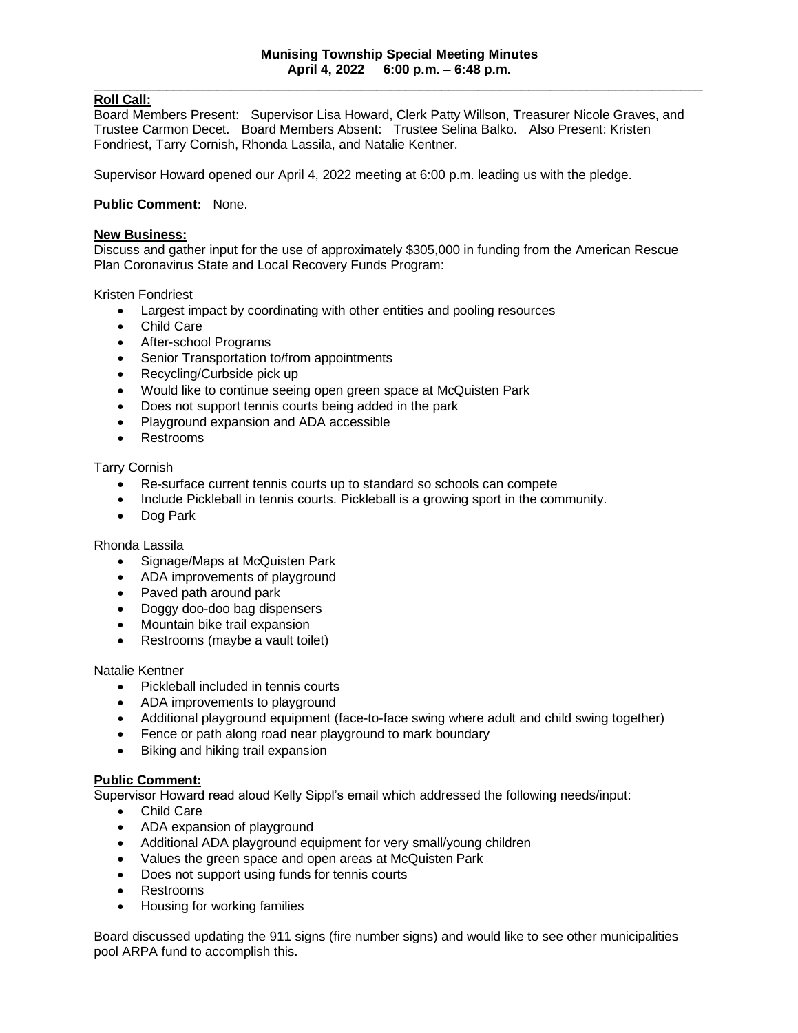# **Roll Call:**

Board Members Present: Supervisor Lisa Howard, Clerk Patty Willson, Treasurer Nicole Graves, and Trustee Carmon Decet. Board Members Absent: Trustee Selina Balko. Also Present: Kristen Fondriest, Tarry Cornish, Rhonda Lassila, and Natalie Kentner.

Supervisor Howard opened our April 4, 2022 meeting at 6:00 p.m. leading us with the pledge.

## **Public Comment:** None.

## **New Business:**

Discuss and gather input for the use of approximately \$305,000 in funding from the American Rescue Plan Coronavirus State and Local Recovery Funds Program:

### Kristen Fondriest

- Largest impact by coordinating with other entities and pooling resources
- Child Care
- After-school Programs
- Senior Transportation to/from appointments
- Recycling/Curbside pick up
- Would like to continue seeing open green space at McQuisten Park
- Does not support tennis courts being added in the park
- Playground expansion and ADA accessible
- Restrooms

## Tarry Cornish

- Re-surface current tennis courts up to standard so schools can compete
- Include Pickleball in tennis courts. Pickleball is a growing sport in the community.
- Dog Park

#### Rhonda Lassila

- Signage/Maps at McQuisten Park
- ADA improvements of playground
- Paved path around park
- Doggy doo-doo bag dispensers
- Mountain bike trail expansion
- Restrooms (maybe a vault toilet)

#### Natalie Kentner

- Pickleball included in tennis courts
- ADA improvements to playground
- Additional playground equipment (face-to-face swing where adult and child swing together)
- Fence or path along road near playground to mark boundary
- Biking and hiking trail expansion

#### **Public Comment:**

Supervisor Howard read aloud Kelly Sippl's email which addressed the following needs/input:

- Child Care
- ADA expansion of playground
- Additional ADA playground equipment for very small/young children
- Values the green space and open areas at McQuisten Park
- Does not support using funds for tennis courts
- Restrooms
- Housing for working families

Board discussed updating the 911 signs (fire number signs) and would like to see other municipalities pool ARPA fund to accomplish this.